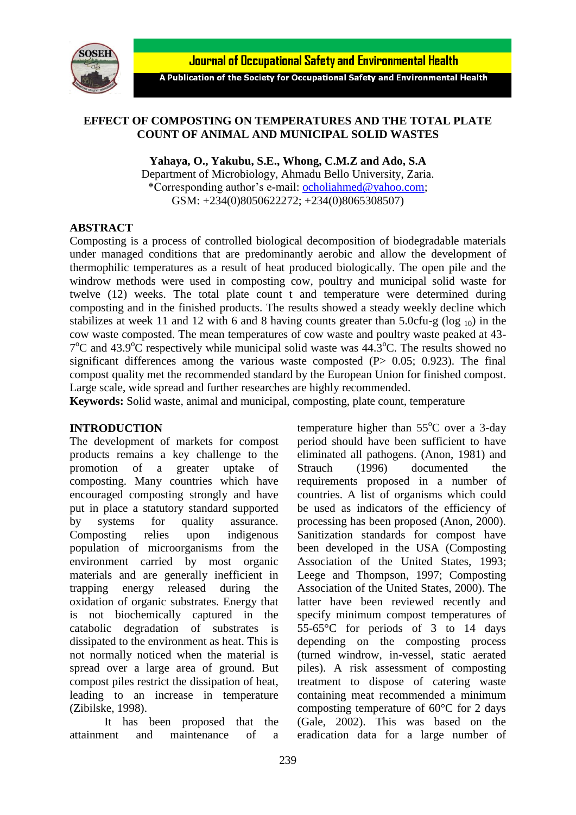

**Journal of Occupational Safety and Environmental Health** 

A Publication of the Society for Occupational Safety and Environmental Health

### **EFFECT OF COMPOSTING ON TEMPERATURES AND THE TOTAL PLATE COUNT OF ANIMAL AND MUNICIPAL SOLID WASTES**

**Yahaya, O., Yakubu, S.E., Whong, C.M.Z and Ado, S.A**

Department of Microbiology, Ahmadu Bello University, Zaria. \*Corresponding author's e-mail: [ocholiahmed@yahoo.com;](mailto:ocholiahmed@yahoo.com) GSM: +234(0)8050622272; +234(0)8065308507)

#### **ABSTRACT**

Composting is a process of controlled biological decomposition of biodegradable materials under managed conditions that are predominantly aerobic and allow the development of thermophilic temperatures as a result of heat produced biologically. The open pile and the windrow methods were used in composting cow, poultry and municipal solid waste for twelve (12) weeks. The total plate count t and temperature were determined during composting and in the finished products. The results showed a steady weekly decline which stabilizes at week 11 and 12 with 6 and 8 having counts greater than  $5.0c$ fu-g ( $log_{10}$ ) in the cow waste composted. The mean temperatures of cow waste and poultry waste peaked at 43-  $7^{\circ}$ C and 43.9 $^{\circ}$ C respectively while municipal solid waste was 44.3 $^{\circ}$ C. The results showed no significant differences among the various waste composted  $(P> 0.05; 0.923)$ . The final compost quality met the recommended standard by the European Union for finished compost. Large scale, wide spread and further researches are highly recommended.

**Keywords:** Solid waste, animal and municipal, composting, plate count, temperature

#### **INTRODUCTION**

The development of markets for compost products remains a key challenge to the promotion of a greater uptake of composting. Many countries which have encouraged composting strongly and have put in place a statutory standard supported by systems for quality assurance. Composting relies upon indigenous population of microorganisms from the environment carried by most organic materials and are generally inefficient in trapping energy released during the oxidation of organic substrates. Energy that is not biochemically captured in the catabolic degradation of substrates is dissipated to the environment as heat. This is not normally noticed when the material is spread over a large area of ground. But compost piles restrict the dissipation of heat, leading to an increase in temperature (Zibilske, 1998).

It has been proposed that the attainment and maintenance of a

temperature higher than  $55^{\circ}$ C over a 3-day period should have been sufficient to have eliminated all pathogens. (Anon, 1981) and Strauch (1996) documented the requirements proposed in a number of countries. A list of organisms which could be used as indicators of the efficiency of processing has been proposed (Anon, 2000). Sanitization standards for compost have been developed in the USA (Composting Association of the United States, 1993; Leege and Thompson, 1997; Composting Association of the United States, 2000). The latter have been reviewed recently and specify minimum compost temperatures of 55-65°C for periods of 3 to 14 days depending on the composting process (turned windrow, in-vessel, static aerated piles). A risk assessment of composting treatment to dispose of catering waste containing meat recommended a minimum composting temperature of 60°C for 2 days (Gale, 2002). This was based on the eradication data for a large number of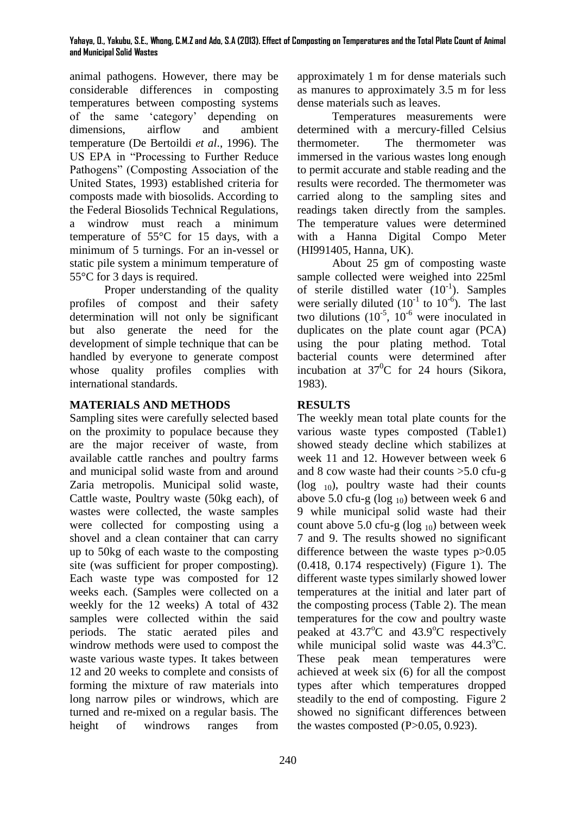#### **Yahaya, O., Yakubu, S.E., Whong, C.M.Z and Ado, S.A (2013). Effect of Composting on Temperatures and the Total Plate Count of Animal and Municipal Solid Wastes**

animal pathogens. However, there may be considerable differences in composting temperatures between composting systems of the same 'category' depending on dimensions, airflow and ambient temperature (De Bertoildi *et al*., 1996). The US EPA in "Processing to Further Reduce Pathogens" (Composting Association of the United States, 1993) established criteria for composts made with biosolids. According to the Federal Biosolids Technical Regulations, a windrow must reach a minimum temperature of 55°C for 15 days, with a minimum of 5 turnings. For an in-vessel or static pile system a minimum temperature of 55°C for 3 days is required.

Proper understanding of the quality profiles of compost and their safety determination will not only be significant but also generate the need for the development of simple technique that can be handled by everyone to generate compost whose quality profiles complies with international standards.

## **MATERIALS AND METHODS**

Sampling sites were carefully selected based on the proximity to populace because they are the major receiver of waste, from available cattle ranches and poultry farms and municipal solid waste from and around Zaria metropolis. Municipal solid waste, Cattle waste, Poultry waste (50kg each), of wastes were collected, the waste samples were collected for composting using a shovel and a clean container that can carry up to 50kg of each waste to the composting site (was sufficient for proper composting). Each waste type was composted for 12 weeks each. (Samples were collected on a weekly for the 12 weeks) A total of 432 samples were collected within the said periods. The static aerated piles and windrow methods were used to compost the waste various waste types. It takes between 12 and 20 weeks to complete and consists of forming the mixture of raw materials into long narrow piles or windrows, which are turned and re-mixed on a regular basis. The height of windrows ranges from

approximately 1 m for dense materials such as manures to approximately 3.5 m for less dense materials such as leaves.

Temperatures measurements were determined with a mercury-filled Celsius thermometer. The thermometer was immersed in the various wastes long enough to permit accurate and stable reading and the results were recorded. The thermometer was carried along to the sampling sites and readings taken directly from the samples. The temperature values were determined with a Hanna Digital Compo Meter (HI991405, Hanna, UK).

About 25 gm of composting waste sample collected were weighed into 225ml of sterile distilled water  $(10^{-1})$ . Samples were serially diluted  $(10^{-1}$  to  $10^{-6})$ . The last two dilutions  $(10^{-5}, 10^{-6})$  were inoculated in duplicates on the plate count agar (PCA) using the pour plating method. Total bacterial counts were determined after incubation at  $37^0C$  for 24 hours (Sikora, 1983).

# **RESULTS**

The weekly mean total plate counts for the various waste types composted (Table1) showed steady decline which stabilizes at week 11 and 12. However between week 6 and 8 cow waste had their counts >5.0 cfu-g ( $log_{10}$ ), poultry waste had their counts above 5.0 cfu-g ( $log_{10}$ ) between week 6 and 9 while municipal solid waste had their count above 5.0 cfu-g  $(log_{10})$  between week 7 and 9. The results showed no significant difference between the waste types p>0.05 (0.418, 0.174 respectively) (Figure 1). The different waste types similarly showed lower temperatures at the initial and later part of the composting process (Table 2). The mean temperatures for the cow and poultry waste peaked at  $43.7^{\circ}$ C and  $43.9^{\circ}$ C respectively while municipal solid waste was  $44.3^{\circ}$ C. These peak mean temperatures were achieved at week six (6) for all the compost types after which temperatures dropped steadily to the end of composting. Figure 2 showed no significant differences between the wastes composted  $(P>0.05, 0.923)$ .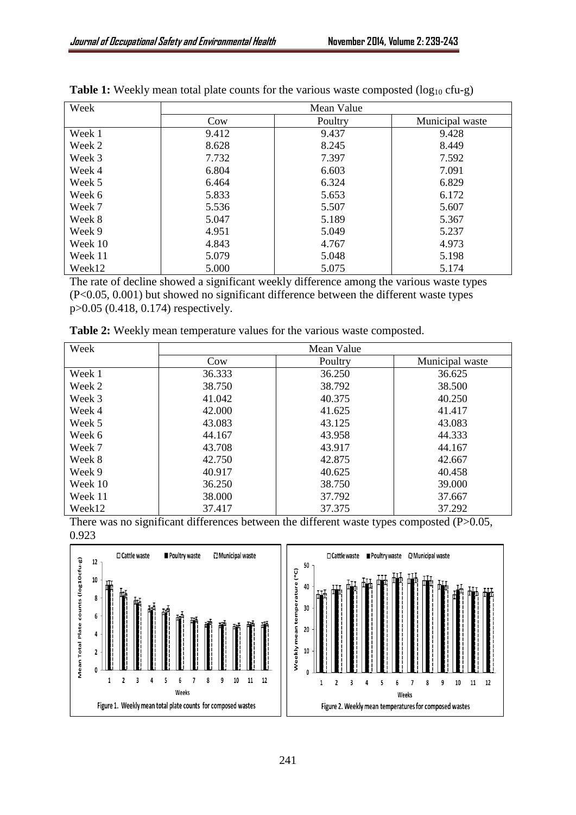Week 2 Week 3 Week 4 Week 5 Week 6 Week 7 Week 8 Week 9 Week 10 Week 11 Week12

| Week    | Mean Value |         |                 |  |
|---------|------------|---------|-----------------|--|
|         | Cow        | Poultry | Municipal waste |  |
| Week 1  | 9.412      | 9.437   | 9.428           |  |
| Week 2  | 8.628      | 8.245   | 8.449           |  |
| Week 3  | 7.732      | 7.397   | 7.592           |  |
| Week 4  | 6.804      | 6.603   | 7.091           |  |
| Week 5  | 6.464      | 6.324   | 6.829           |  |
| Week 6  | 5.833      | 5.653   | 6.172           |  |
| Week 7  | 5.536      | 5.507   | 5.607           |  |
| Week 8  | 5.047      | 5.189   | 5.367           |  |
| Week 9  | 4.951      | 5.049   | 5.237           |  |
| Week 10 | 4.843      | 4.767   | 4.973           |  |
| Week 11 | 5.079      | 5.048   | 5.198           |  |
| Week12  | 5.000      | 5.075   | 5.174           |  |

|  |  |  |  | <b>Table 1:</b> Weekly mean total plate counts for the various waste composted ( $log_{10}$ cfu-g) |  |
|--|--|--|--|----------------------------------------------------------------------------------------------------|--|
|--|--|--|--|----------------------------------------------------------------------------------------------------|--|

The rate of decline showed a significant weekly difference among the various waste types (P<0.05, 0.001) but showed no significant difference between the different waste types p>0.05 (0.418, 0.174) respectively.

> 38.792 40.375 41.625 43.125 43.958 43.917 42.875 40.625 38.750 37.792 37.375

38.500 40.250 41.417 43.083 44.333 44.167 42.667 40.458 39.000 37.667 37.292

| Week |        | Mean Value |                 |
|------|--------|------------|-----------------|
|      | .`OW   | Poultry    | Municipal waste |
| Week | 36.333 | 36.250     | 36.625          |

| Table 2: Weekly mean temperature values for the various waste composted. |  |  |  |  |
|--------------------------------------------------------------------------|--|--|--|--|
|--------------------------------------------------------------------------|--|--|--|--|

38.750 41.042 42.000 43.083 44.167 43.708 42.750 40.917 36.250 38.000 37.417

| There was no significant differences between the different waste types composted $(P>0.05$ , |  |  |  |  |
|----------------------------------------------------------------------------------------------|--|--|--|--|
| 0.923                                                                                        |  |  |  |  |

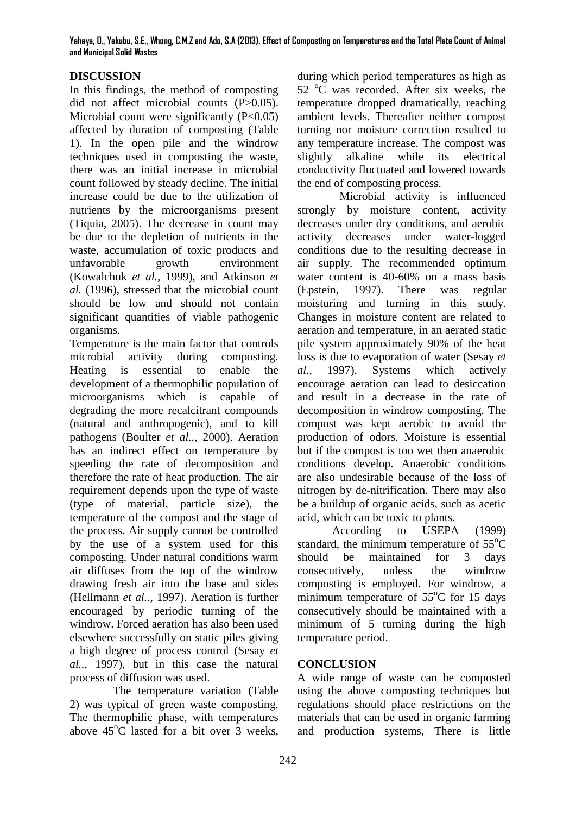## **DISCUSSION**

In this findings, the method of composting did not affect microbial counts (P>0.05). Microbial count were significantly  $(P<0.05)$ affected by duration of composting (Table 1). In the open pile and the windrow techniques used in composting the waste, there was an initial increase in microbial count followed by steady decline. The initial increase could be due to the utilization of nutrients by the microorganisms present (Tiquia, 2005). The decrease in count may be due to the depletion of nutrients in the waste, accumulation of toxic products and unfavorable growth environment (Kowalchuk *et al.,* 1999), and Atkinson *et al.* (1996), stressed that the microbial count should be low and should not contain significant quantities of viable pathogenic organisms.

Temperature is the main factor that controls microbial activity during composting. Heating is essential to enable the development of a thermophilic population of microorganisms which is capable of degrading the more recalcitrant compounds (natural and anthropogenic), and to kill pathogens (Boulter *et al..*, 2000). Aeration has an indirect effect on temperature by speeding the rate of decomposition and therefore the rate of heat production. The air requirement depends upon the type of waste (type of material, particle size), the temperature of the compost and the stage of the process. Air supply cannot be controlled by the use of a system used for this composting. Under natural conditions warm air diffuses from the top of the windrow drawing fresh air into the base and sides (Hellmann *et al..*, 1997). Aeration is further encouraged by periodic turning of the windrow. Forced aeration has also been used elsewhere successfully on static piles giving a high degree of process control (Sesay *et al..*, 1997), but in this case the natural process of diffusion was used.

The temperature variation (Table 2) was typical of green waste composting. The thermophilic phase, with temperatures above  $45^{\circ}$ C lasted for a bit over 3 weeks.

during which period temperatures as high as 52  $^{\circ}$ C was recorded. After six weeks, the temperature dropped dramatically, reaching ambient levels. Thereafter neither compost turning nor moisture correction resulted to any temperature increase. The compost was slightly alkaline while its electrical conductivity fluctuated and lowered towards the end of composting process.

 Microbial activity is influenced strongly by moisture content, activity decreases under dry conditions, and aerobic activity decreases under water-logged conditions due to the resulting decrease in air supply. The recommended optimum water content is 40-60% on a mass basis (Epstein, 1997). There was regular moisturing and turning in this study. Changes in moisture content are related to aeration and temperature, in an aerated static pile system approximately 90% of the heat loss is due to evaporation of water (Sesay *et al.*, 1997). Systems which actively encourage aeration can lead to desiccation and result in a decrease in the rate of decomposition in windrow composting. The compost was kept aerobic to avoid the production of odors. Moisture is essential but if the compost is too wet then anaerobic conditions develop. Anaerobic conditions are also undesirable because of the loss of nitrogen by de-nitrification. There may also be a buildup of organic acids, such as acetic acid, which can be toxic to plants.

According to USEPA (1999) standard, the minimum temperature of  $55^{\circ}$ C should be maintained for 3 days consecutively, unless the windrow composting is employed. For windrow, a minimum temperature of  $55^{\circ}$ C for 15 days consecutively should be maintained with a minimum of 5 turning during the high temperature period.

### **CONCLUSION**

A wide range of waste can be composted using the above composting techniques but regulations should place restrictions on the materials that can be used in organic farming and production systems, There is little